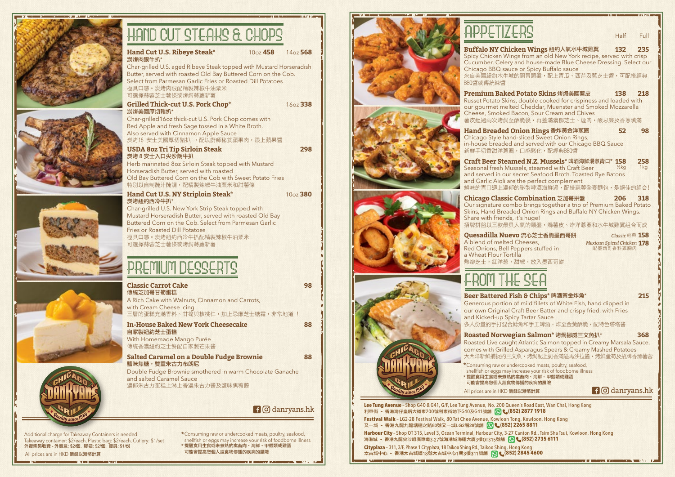| <b>HAND CUT STEAKS &amp; CHOPS</b>                                                                                                                                                   |                        |
|--------------------------------------------------------------------------------------------------------------------------------------------------------------------------------------|------------------------|
| Hand Cut U.S. Ribeye Steak*<br>10 <sub>oz</sub> 458<br>炭烤肉眼牛扒*                                                                                                                       | 14 <sub>oz</sub> 568   |
| Char-grilled U.S. aged Ribeye Steak topped with Mustard Horseradish<br>Butter, served with roasted Old Bay Buttered Corn on the Cob.                                                 |                        |
| Select from Parmesan Garlic Fries or Roasted Dill Potatoes<br>極具口感。炭烤肉眼配精製辣椒牛油粟米<br>可選擇蒜蓉芝士薯條或烤焗蒔蘿新薯                                                                                 |                        |
| <b>Grilled Thick-cut U.S. Pork Chop*</b><br>炭烤美國厚切豬扒*                                                                                                                                | 16oz 338               |
| Char-grilled16oz thick-cut U.S. Pork Chop comes with<br>Red Apple and fresh Sage tossed in a White Broth.<br>Also served with Cinnamon Apple Sauce<br>炭烤16 安士美國厚切豬扒 ,配以廚師秘笈蘋果肉,跟上蘋果醬 |                        |
| <b>USDA 80z Tri Tip Sirloin Steak</b><br>炭烤8安士入口尖沙朗牛扒                                                                                                                                | 298                    |
| Herb marinated 8oz Sirloin Steak topped with Mustard<br>Horseradish Butter, served with roasted                                                                                      |                        |
| Old Bay Buttered Corn on the Cob with Sweet Potato Fries<br>特別以自制醃汁醃調,配精製辣椒牛油粟米和甜薯條                                                                                                  |                        |
| <b>Hand Cut U.S. NY Striploin Steak*</b><br>炭烤紐約西冷牛扒*                                                                                                                                | $10oz$ 380             |
| Char-grilled U.S. New York Strip Steak topped with<br>Mustard Horseradish Butter, served with roasted Old Bay                                                                        |                        |
| Buttered Corn on the Cob. Select from Parmesan Garlic<br><b>Fries or Roasted Dill Potatoes</b>                                                                                       |                        |
| 極具口感。炭烤紐約西冷牛扒配精製辣椒牛油粟米<br>可選擇蒜蓉芝士薯條或烤焗蒔蘿新薯                                                                                                                                           |                        |
|                                                                                                                                                                                      |                        |
| PREMIUM DESSERTS                                                                                                                                                                     |                        |
| <b>Classic Carrot Cake</b><br>傳統芝加哥甘筍蛋糕                                                                                                                                              | 98                     |
| A Rich Cake with Walnuts, Cinnamon and Carrots,<br>with Cream Cheese Icing                                                                                                           |                        |
| 三層的蛋糕充滿香料、甘筍與核桃仁,加上忌廉芝士糖霜,非常地道 !                                                                                                                                                     |                        |
| <b>In-House Baked New York Cheesecake</b><br>自家製紐約芝士蛋糕                                                                                                                               | 88                     |
| With Homemade Mango Purée<br>傳統香濃紐約芝士餅配自家製芒果醬                                                                                                                                        |                        |
| <b>Salted Caramel on a Double Fudge Brownie</b><br>鹽味焦糖,雙重朱古力布朗尼                                                                                                                     | 88                     |
| Double Fudge Brownie smothered in warm Chocolate Ganache<br>and salted Caramel Sauce                                                                                                 |                        |
| 濃郁朱古力蛋糕上淋上香濃朱古力醬及鹽味焦糖醬                                                                                                                                                               |                        |
|                                                                                                                                                                                      | <b>f</b> © danryans.hk |
|                                                                                                                                                                                      |                        |

Additional charge for Takeaway Containers is needed: Takeaway container: \$2/each, Plastic bag: \$2/each, Cutlery: \$1/set 外賣需另收費 - 外賣盒: \$2/個, 膠袋: \$2/個, 餐具: \$1/份

**In the arts and complete and the two** 

All prices are in HKD 價錢以港幣計算

Consuming raw or undercooked meats, poultry, seafood, **\*** shellfish or eggs may increase your risk of foodborne illness \* 提醒食用生食或未煮熟的禽畜肉、海鮮、甲殼類或雞蛋<br>———————————————————— 可能會提高您個人經食物傳播的疾病的風險

**THE COMMUNITY OF PERSONS WAS SERVED AND** 



# APPETIZERS Half Full **Buffalo NY Chicken Wings** 紐約人氣水牛城雞翼 **132 235** Chicago BBQ sauce or Spicy Buffalo sauce BBQ醬或傳統辣醬 新鮮手切香甜洋蔥圈,口感鬆化,配經典BBO醬

\* 提醒食用生食或未煮熟的禽畜肉、海鮮、甲殼類或雞蛋<br>———————————————————— 可能會提高您個人經食物傳播的疾病的風險

**STATISTICS** 

**Lee Tung Avenue** – Shop G40 & G41, G/F, Lee Tung Avenue, No. 200 Queen's Road East, Wan Chai, Hong Kong 利東街 – 香港灣仔皇后大道東200號利東街地下G40及G41號舖 **(852) 2877 1918**

**Festival Walk** – LG2-28 Festival Walk, 80 Tat Chee Avenue, Kowloon Tong, Kowloon, Hong Kong 又一城 – 香港九龍九龍塘達之路80號又一城LG2層28號舖 **(852) 2265 8811**

**Harbour City** – Shop OT 315, Level 3, Ocean Terminal, Harbour City, 3-27 Canton Rd., Tsim Sha Tsui, Kowloon, Hong Kong 海港城 - 香港九龍尖沙咀廣東道3-27號海港城海運大廈3樓OT315號舖 **(852) 2735 6111** 

**Cityplaza** – 311, 3/F, Phase 1 Cityplaza, 18 Taikoo Shing Rd., Taikoo Shing, Hong Kong 太古城中心 - 香港太古城道18號太古城中心1期3樓311號舖 (8 (852) 2845 4600

**CONTRACTOR** 

### Spicy Chicken Wings from an old New York recipe, served with crisp Cucumber, Celery and house-made Blue Cheese Dressing. Select our 來自美國紐約水牛城的開胃頭盤,配上青瓜、西芹及藍芝士醬,可配搭經典

**Premium Baked Potato Skins 烤焗美國薯皮 138 218** Russet Potato Skins, double cooked for crispiness and loaded with our gourmet melted Cheddar, Muenster and Smoked Mozzarella Cheese, Smoked Bacon, Sour Cream and Chives 薯皮經過兩次烤焗至酥脆後,再蓋滿濃郁芝士、煙肉,酸忌廉及香蔥填滿

**Hand Breaded Onion Rings** 香炸黃金洋蔥圈 **52 98** Chicago Style hand-sliced Sweet Onion Rings, in-house breaded and served with our Chicago BBQ Sauce

**Craft Beer Steamed N.Z. Mussels\*** 啤酒海鮮湯煮青口**\* 158 258** Seasonal fresh Mussels, steamed with Craft Beer and served in our secret Seafood Broth. Toasted Rye Batons and Garlic Aioli are the perfect complement 鮮味的青口遇上濃郁的秘製啤酒海鮮湯,配搭蒜蓉全麥麵包,是絕佳的組合!  $1/2$ kg

**Chicago Classic Combination** 芝加哥拼盤 **206 318** Our signature combo brings together a trio of Premium Baked Potato Skins, Hand Breaded Onion Rings and Buffalo NY Chicken Wings. Share with friends, it's huge! 招牌拼盤以三款最具人氣的頭盤,焗薯皮、炸洋蔥圈和水牛城雞翼組合而成

**Quesadilla Nuevo** 流心芝士香脆墨西哥餅 **158** A blend of melted Cheeses, Red Onions, Bell Peppers stuffed in a Wheat Flour Tortilla 熱熔芝士,紅洋葱,甜椒,放入墨西哥餅

*Classic* 經典 *Mexican Spiced Chicken* 配墨西哥香料雞胸肉

# FROM THE SEA

### **Beer Battered Fish & Chips\* 啤酒黃金炸魚\*** 215

Generous portion of mild fillets of White Fish, hand dipped in our own Original Craft Beer Batter and crispy fried, with Fries and Kicked-up Spicy Tartar Sauce 多人份量的手打混合鯰魚和手工啤酒,炸至金黃酥脆,配特色塔塔醬

### **Roasted Norwegian Salmon\*** 烤焗挪威三文魚扒\* **368**

Roasted Live caught Atlantic Salmon topped in Creamy Marsala Sauce, comes with Grilled Asparagus Spears & Creamy Mashed Potatoes 大西洋新鮮捕捉的三文魚,烤焗配上奶香滿溢馬沙拉醬,烤鮮蘆筍及招牌香滑薯蓉

Consuming raw or undercooked meats, poultry, seafood, shellfish or eggs may increase your risk of foodborne illness **\***

All prices are in HKD 價錢以港幣計算 **danryans.hk** 

**COMMENTARY STATISTICS**